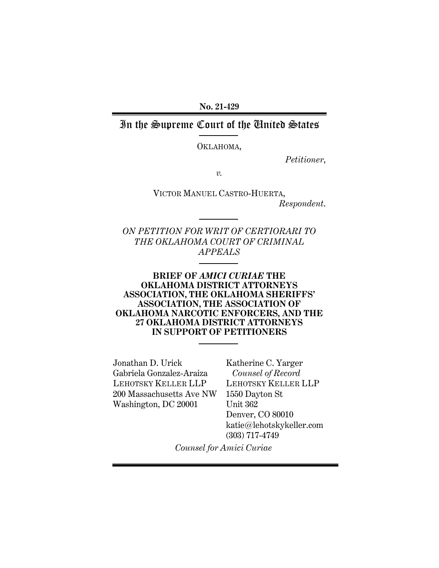**No. 21-429**

# In the Supreme Court of the United States

OKLAHOMA,

*Petitioner*,

*v.*

VICTOR MANUEL CASTRO-HUERTA, *Respondent*.

*ON PETITION FOR WRIT OF CERTIORARI TO THE OKLAHOMA COURT OF CRIMINAL APPEALS*

### **BRIEF OF** *AMICI CURIAE* **THE OKLAHOMA DISTRICT ATTORNEYS ASSOCIATION, THE OKLAHOMA SHERIFFS' ASSOCIATION, THE ASSOCIATION OF OKLAHOMA NARCOTIC ENFORCERS, AND THE 27 OKLAHOMA DISTRICT ATTORNEYS IN SUPPORT OF PETITIONERS**

Jonathan D. Urick Gabriela Gonzalez-Araiza LEHOTSKY KELLER LLP 200 Massachusetts Ave NW Washington, DC 20001

Katherine C. Yarger  *Counsel of Record* LEHOTSKY KELLER LLP 1550 Dayton St Unit 362 Denver, CO 80010 katie@lehotskykeller.com (303) 717-4749

*Counsel for Amici Curiae*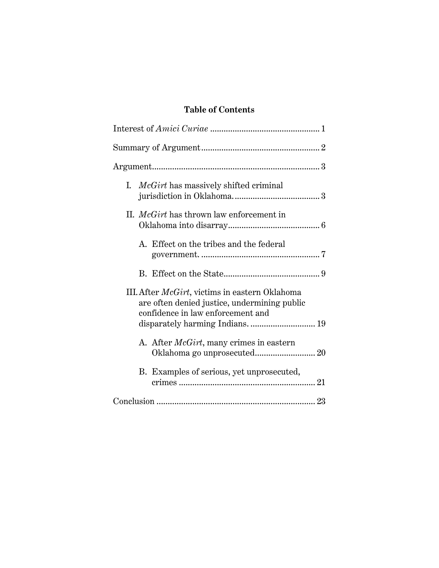# **Table of Contents**

|                                                                                                                                             | I. <i>McGirt</i> has massively shifted criminal |  |  |  |  |
|---------------------------------------------------------------------------------------------------------------------------------------------|-------------------------------------------------|--|--|--|--|
|                                                                                                                                             | II. <i>McGirt</i> has thrown law enforcement in |  |  |  |  |
|                                                                                                                                             | A. Effect on the tribes and the federal         |  |  |  |  |
|                                                                                                                                             |                                                 |  |  |  |  |
| III. After <i>McGirt</i> , victims in eastern Oklahoma<br>are often denied justice, undermining public<br>confidence in law enforcement and |                                                 |  |  |  |  |
|                                                                                                                                             | disparately harming Indians.  19                |  |  |  |  |
|                                                                                                                                             | A. After <i>McGirt</i> , many crimes in eastern |  |  |  |  |
|                                                                                                                                             | B. Examples of serious, yet unprosecuted,       |  |  |  |  |
|                                                                                                                                             |                                                 |  |  |  |  |
|                                                                                                                                             |                                                 |  |  |  |  |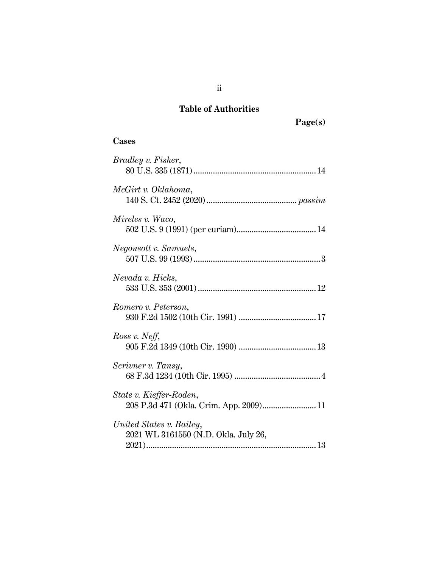# **Table of Authorities**

# **Cases**

| <i>Bradley v. Fisher,</i>                                          |
|--------------------------------------------------------------------|
| McGirt v. Oklahoma,                                                |
| Mireles v. Waco,                                                   |
| Negonsott v. Samuels,                                              |
| Nevada v. Hicks,                                                   |
| Romero v. Peterson,                                                |
| Ross v. Neff,                                                      |
| Scrivner v. Tansy,                                                 |
| State v. Kieffer-Roden,<br>208 P.3d 471 (Okla. Crim. App. 2009) 11 |
| United States v. Bailey,<br>2021 WL 3161550 (N.D. Okla. July 26,   |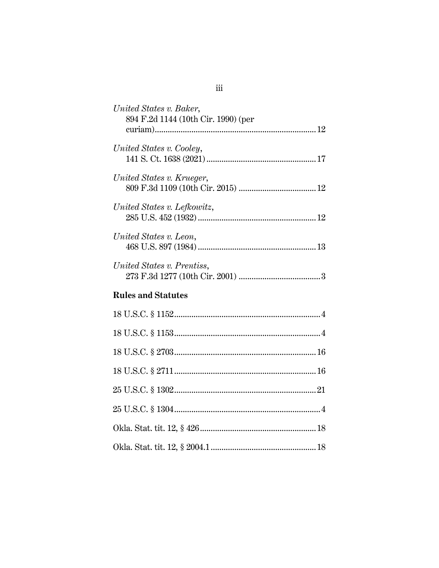| United States v. Baker,<br>894 F.2d 1144 (10th Cir. 1990) (per |
|----------------------------------------------------------------|
| United States v. Cooley,                                       |
| United States v. Krueger,                                      |
| United States v. Lefkowitz,                                    |
| United States v. Leon,                                         |
| United States v. Prentiss,                                     |
| <b>Rules and Statutes</b>                                      |
|                                                                |
|                                                                |
|                                                                |
|                                                                |
|                                                                |
|                                                                |
|                                                                |
|                                                                |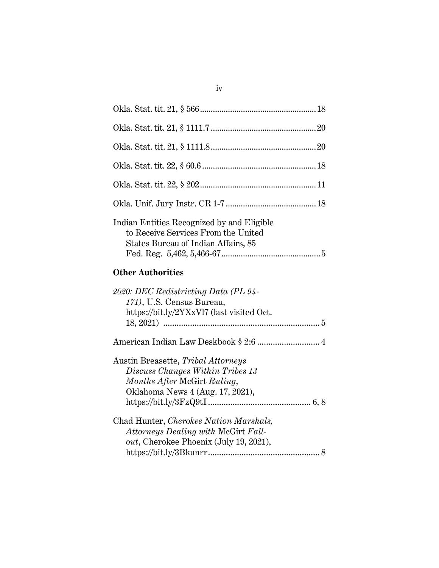| Indian Entities Recognized by and Eligible<br>to Receive Services From the United<br>States Bureau of Indian Affairs, 85                  |  |
|-------------------------------------------------------------------------------------------------------------------------------------------|--|
| <b>Other Authorities</b>                                                                                                                  |  |
| 2020: DEC Redistricting Data (PL 94-<br>171), U.S. Census Bureau,<br>https://bit.ly/2YXxVl7 (last visited Oct.                            |  |
| American Indian Law Deskbook § 2:6  4                                                                                                     |  |
| Austin Breasette, Tribal Attorneys<br>Discuss Changes Within Tribes 13<br>Months After McGirt Ruling,<br>Oklahoma News 4 (Aug. 17, 2021), |  |
| Chad Hunter, Cherokee Nation Marshals,<br>Attorneys Dealing with McGirt Fall-<br>out, Cherokee Phoenix (July 19, 2021),                   |  |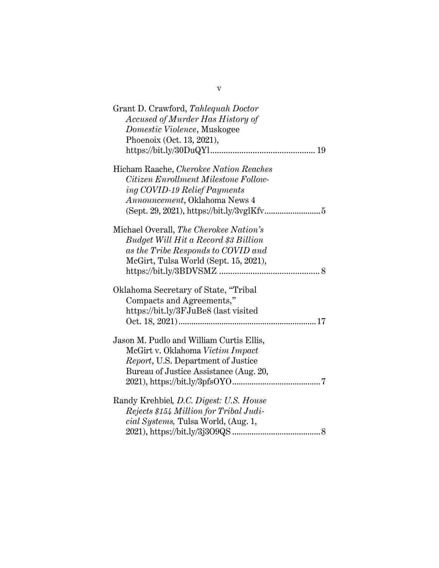| Grant D. Crawford, Tahlequah Doctor<br>Accused of Murder Has History of<br>Domestic Violence, Muskogee<br>Phoenoix (Oct. 13, 2021),                                  |
|----------------------------------------------------------------------------------------------------------------------------------------------------------------------|
| Hicham Raache, Cherokee Nation Reaches<br>Citizen Enrollment Milestone Follow-<br>ing COVID-19 Relief Payments<br>Announcement, Oklahoma News 4                      |
| Michael Overall, The Cherokee Nation's<br><b>Budget Will Hit a Record \$3 Billion</b><br>as the Tribe Responds to COVID and<br>McGirt, Tulsa World (Sept. 15, 2021), |
| Oklahoma Secretary of State, "Tribal<br>Compacts and Agreements,"<br>https://bit.ly/3FJuBe8 (last visited                                                            |
| Jason M. Pudlo and William Curtis Ellis,<br>McGirt v. Oklahoma Victim Impact<br>Report, U.S. Department of Justice<br>Bureau of Justice Assistance (Aug. 20,         |
| Randy Krehbiel, D.C. Digest: U.S. House<br>Rejects \$154 Million for Tribal Judi-<br>cial Systems, Tulsa World, (Aug. 1,                                             |

v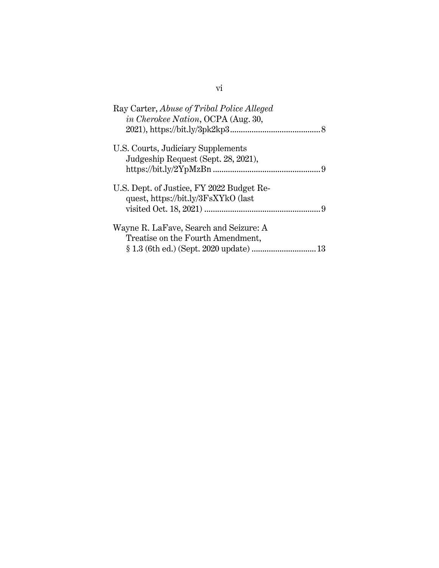| Ray Carter, <i>Abuse of Tribal Police Alleged</i><br><i>in Cherokee Nation</i> , OCPA (Aug. 30, |
|-------------------------------------------------------------------------------------------------|
|                                                                                                 |
| U.S. Courts, Judiciary Supplements<br>Judgeship Request (Sept. 28, 2021),                       |
| U.S. Dept. of Justice, FY 2022 Budget Re-<br>quest, https://bit.ly/3FsXYkO (last                |
| Wayne R. LaFave, Search and Seizure: A<br>Treatise on the Fourth Amendment,                     |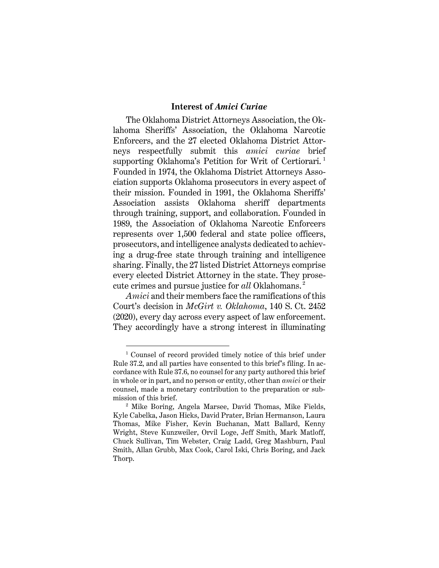### **Interest of** *Amici Curiae*

<span id="page-7-0"></span>The Oklahoma District Attorneys Association, the Oklahoma Sheriffs' Association, the Oklahoma Narcotic Enforcers, and the 27 elected Oklahoma District Attorneys respectfully submit this *amici curiae* brief supporting Oklahoma's Petition for Writ of Certiorari.<sup>1</sup> Founded in 1974, the Oklahoma District Attorneys Association supports Oklahoma prosecutors in every aspect of their mission. Founded in 1991, the Oklahoma Sheriffs' Association assists Oklahoma sheriff departments through training, support, and collaboration. Founded in 1989, the Association of Oklahoma Narcotic Enforcers represents over 1,500 federal and state police officers, prosecutors, and intelligence analysts dedicated to achieving a drug-free state through training and intelligence sharing. Finally, the 27 listed District Attorneys comprise every elected District Attorney in the state. They prosecute crimes and pursue justice for *all* Oklahomans. 2

*Amici* and their members face the ramifications of this Court's decision in *McGirt v. Oklahoma*, 140 S. Ct. 2452 (2020), every day across every aspect of law enforcement. They accordingly have a strong interest in illuminating

<sup>&</sup>lt;sup>1</sup> Counsel of record provided timely notice of this brief under Rule 37.2, and all parties have consented to this brief's filing. In accordance with Rule 37.6, no counsel for any party authored this brief in whole or in part, and no person or entity, other than *amici* or their counsel, made a monetary contribution to the preparation or submission of this brief.

<sup>2</sup> Mike Boring, Angela Marsee, David Thomas, Mike Fields, Kyle Cabelka, Jason Hicks, David Prater, Brian Hermanson, Laura Thomas, Mike Fisher, Kevin Buchanan, Matt Ballard, Kenny Wright, Steve Kunzweiler, Orvil Loge, Jeff Smith, Mark Matloff, Chuck Sullivan, Tim Webster, Craig Ladd, Greg Mashburn, Paul Smith, Allan Grubb, Max Cook, Carol Iski, Chris Boring, and Jack Thorp.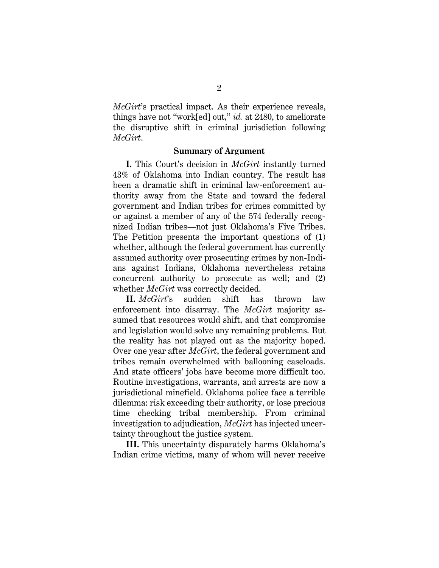*McGirt*'s practical impact. As their experience reveals, things have not "work[ed] out," *id.* at 2480, to ameliorate the disruptive shift in criminal jurisdiction following *McGirt*.

#### **Summary of Argument**

<span id="page-8-0"></span>**I.** This Court's decision in *McGirt* instantly turned 43% of Oklahoma into Indian country. The result has been a dramatic shift in criminal law-enforcement authority away from the State and toward the federal government and Indian tribes for crimes committed by or against a member of any of the 574 federally recognized Indian tribes—not just Oklahoma's Five Tribes. The Petition presents the important questions of (1) whether, although the federal government has currently assumed authority over prosecuting crimes by non-Indians against Indians, Oklahoma nevertheless retains concurrent authority to prosecute as well; and (2) whether *McGirt* was correctly decided.

**II.** *McGirt*'s sudden shift has thrown law enforcement into disarray. The *McGirt* majority assumed that resources would shift, and that compromise and legislation would solve any remaining problems. But the reality has not played out as the majority hoped. Over one year after *McGirt*, the federal government and tribes remain overwhelmed with ballooning caseloads. And state officers' jobs have become more difficult too. Routine investigations, warrants, and arrests are now a jurisdictional minefield. Oklahoma police face a terrible dilemma: risk exceeding their authority, or lose precious time checking tribal membership. From criminal investigation to adjudication, *McGirt* has injected uncertainty throughout the justice system.

**III.** This uncertainty disparately harms Oklahoma's Indian crime victims, many of whom will never receive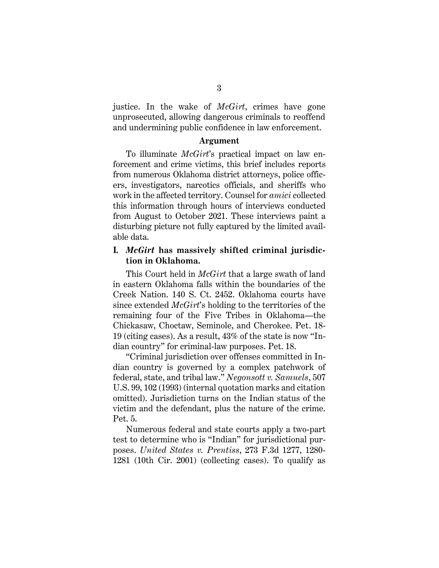justice. In the wake of *McGirt*, crimes have gone unprosecuted, allowing dangerous criminals to reoffend and undermining public confidence in law enforcement.

#### **Argument**

<span id="page-9-0"></span>To illuminate *McGirt*'s practical impact on law enforcement and crime victims, this brief includes reports from numerous Oklahoma district attorneys, police officers, investigators, narcotics officials, and sheriffs who work in the affected territory. Counsel for *amici* collected this information through hours of interviews conducted from August to October 2021. These interviews paint a disturbing picture not fully captured by the limited available data.

## <span id="page-9-1"></span>**I.** *McGirt* **has massively shifted criminal jurisdiction in Oklahoma.**

This Court held in *McGirt* that a large swath of land in eastern Oklahoma falls within the boundaries of the Creek Nation. 140 S. Ct. 2452. Oklahoma courts have since extended *McGirt*'s holding to the territories of the remaining four of the Five Tribes in Oklahoma—the Chickasaw, Choctaw, Seminole, and Cherokee. Pet. 18- 19 (citing cases). As a result, 43% of the state is now "Indian country" for criminal-law purposes. Pet. 18.

"Criminal jurisdiction over offenses committed in Indian country is governed by a complex patchwork of federal, state, and tribal law." *Negonsott v. Samuels*, 507 U.S. 99, 102 (1993) (internal quotation marks and citation omitted). Jurisdiction turns on the Indian status of the victim and the defendant, plus the nature of the crime. [Pet.](file:///C:/Users/katie/My%20ShareSync/Cases/Oklahoma%20v.%20Castro%20-%20Amicus/3.%20Drafts/Pet) 5.

Numerous federal and state courts apply a two-part test to determine who is "Indian" for jurisdictional purposes. *United States v. Prentiss*, 273 F.3d 1277, 1280- 1281 (10th Cir. 2001) (collecting cases). To qualify as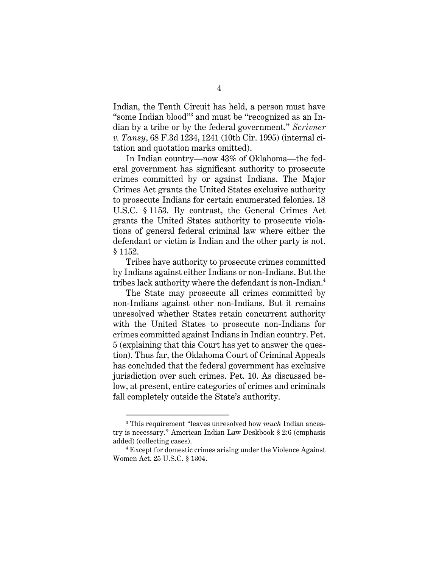Indian, the Tenth Circuit has held, a person must have "some Indian blood"<sup>3</sup> and must be "recognized as an Indian by a tribe or by the federal government." *Scrivner v. Tansy*, 68 F.3d 1234, 1241 (10th Cir. 1995) (internal citation and quotation marks omitted).

In Indian country—now 43% of Oklahoma—the federal government has significant authority to prosecute crimes committed by or against Indians. The Major Crimes Act grants the United States exclusive authority to prosecute Indians for certain enumerated felonies. 18 U.S.C. § 1153. By contrast, the General Crimes Act grants the United States authority to prosecute violations of general federal criminal law where either the defendant or victim is Indian and the other party is not. § 1152.

Tribes have authority to prosecute crimes committed by Indians against either Indians or non-Indians. But the tribes lack authority where the defendant is non-Indian.<sup>4</sup>

The State may prosecute all crimes committed by non-Indians against other non-Indians. But it remains unresolved whether States retain concurrent authority with the United States to prosecute non-Indians for crimes committed against Indians in Indian country. Pet. 5 (explaining that this Court has yet to answer the question). Thus far, the Oklahoma Court of Criminal Appeals has concluded that the federal government has exclusive jurisdiction over such crimes. Pet. 10. As discussed below, at present, entire categories of crimes and criminals fall completely outside the State's authority.

<sup>3</sup> This requirement "leaves unresolved how *much* Indian ancestry is necessary." American Indian Law Deskbook § 2:6 (emphasis added) (collecting cases).

<sup>4</sup> Except for domestic crimes arising under the Violence Against Women Act. 25 U.S.C. § 1304.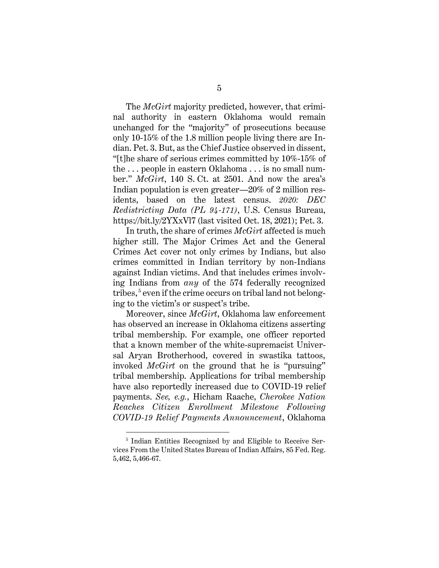The *McGirt* majority predicted, however, that criminal authority in eastern Oklahoma would remain unchanged for the "majority" of prosecutions because only 10-15% of the 1.8 million people living there are Indian. Pet. 3. But, as the Chief Justice observed in dissent, "[t]he share of serious crimes committed by 10%-15% of the . . . people in eastern Oklahoma . . . is no small number." *McGirt*, 140 S. Ct. at 2501. And now the area's Indian population is even greater—20% of 2 million residents, based on the latest census. *2020: DEC Redistricting Data (PL 94-171)*, U.S. Census Bureau, https://bit.ly/2YXxVl7 (last visited Oct. 18, 2021); Pet. 3.

In truth, the share of crimes *McGirt* affected is much higher still. The Major Crimes Act and the General Crimes Act cover not only crimes by Indians, but also crimes committed in Indian territory by non-Indians against Indian victims. And that includes crimes involving Indians from *any* of the 574 federally recognized tribes, 5 even if the crime occurs on tribal land not belonging to the victim's or suspect's tribe.

Moreover, since *McGirt*, Oklahoma law enforcement has observed an increase in Oklahoma citizens asserting tribal membership. For example, one officer reported that a known member of the white-supremacist Universal Aryan Brotherhood, covered in swastika tattoos, invoked *McGirt* on the ground that he is "pursuing" tribal membership. Applications for tribal membership have also reportedly increased due to COVID-19 relief payments. *See, e.g.*, Hicham Raache, *Cherokee Nation Reaches Citizen Enrollment Milestone Following COVID-19 Relief Payments Announcement*, Oklahoma

<span id="page-11-0"></span><sup>5</sup> Indian Entities Recognized by and Eligible to Receive Services From the United States Bureau of Indian Affairs, [85 Fed. Reg.](https://1.next.westlaw.com/Link/Document/FullText?findType=l&pubNum=0001037&cite=UUID(I361DB730433B11EAB9E687E4E77CC888)&originatingDoc=I1c0d2ca0891711eaa989d7e1e0acd33c&refType=CP&fi=co_pp_sp_1037_5466&originationContext=document&transitionType=DocumentItem&ppcid=dfc5de81b06c4533812c97243b94ee5c&contextData=(sc.Search)#co_pp_sp_1037_5466)  [5,462, 5,466-67.](https://1.next.westlaw.com/Link/Document/FullText?findType=l&pubNum=0001037&cite=UUID(I361DB730433B11EAB9E687E4E77CC888)&originatingDoc=I1c0d2ca0891711eaa989d7e1e0acd33c&refType=CP&fi=co_pp_sp_1037_5466&originationContext=document&transitionType=DocumentItem&ppcid=dfc5de81b06c4533812c97243b94ee5c&contextData=(sc.Search)#co_pp_sp_1037_5466)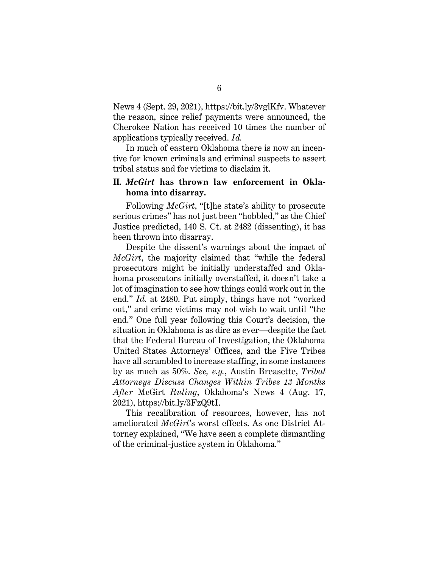News 4 (Sept. 29, 2021), https://bit.ly/3vglKfv. Whatever the reason, since relief payments were announced, the Cherokee Nation has received 10 times the number of applications typically received. *Id.* 

In much of eastern Oklahoma there is now an incentive for known criminals and criminal suspects to assert tribal status and for victims to disclaim it.

### <span id="page-12-0"></span>**II.** *McGirt* **has thrown law enforcement in Oklahoma into disarray.**

Following *McGirt*, "[t]he state's ability to prosecute serious crimes" has not just been "hobbled," as the Chief Justice predicted, 140 S. Ct. at 2482 (dissenting), it has been thrown into disarray.

Despite the dissent's warnings about the impact of *McGirt*, the majority claimed that "while the federal prosecutors might be initially understaffed and Oklahoma prosecutors initially overstaffed, it doesn't take a lot of imagination to see how things could work out in the end." *Id.* at 2480. Put simply, things have not "worked out," and crime victims may not wish to wait until "the end." One full year following this Court's decision, the situation in Oklahoma is as dire as ever—despite the fact that the Federal Bureau of Investigation, the Oklahoma United States Attorneys' Offices, and the Five Tribes have all scrambled to increase staffing, in some instances by as much as 50%. *See, e.g.*, Austin Breasette, *Tribal Attorneys Discuss Changes Within Tribes 13 Months After* McGirt *Ruling*, Oklahoma's News 4 (Aug. 17, 2021), https://bit.ly/3FzQ9tI.

This recalibration of resources, however, has not ameliorated *McGirt*'s worst effects. As one District Attorney explained, "We have seen a complete dismantling of the criminal-justice system in Oklahoma."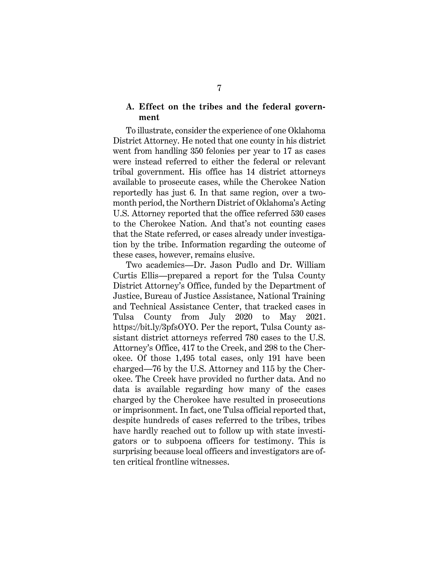### <span id="page-13-0"></span>**A. Effect on the tribes and the federal government**

To illustrate, consider the experience of one Oklahoma District Attorney. He noted that one county in his district went from handling 350 felonies per year to 17 as cases were instead referred to either the federal or relevant tribal government. His office has 14 district attorneys available to prosecute cases, while the Cherokee Nation reportedly has just 6. In that same region, over a twomonth period, the Northern District of Oklahoma's Acting U.S. Attorney reported that the office referred 530 cases to the Cherokee Nation. And that's not counting cases that the State referred, or cases already under investigation by the tribe. Information regarding the outcome of these cases, however, remains elusive.

Two academics—Dr. Jason Pudlo and Dr. William Curtis Ellis—prepared a report for the Tulsa County District Attorney's Office, funded by the Department of Justice, Bureau of Justice Assistance, National Training and Technical Assistance Center, that tracked cases in Tulsa County from July 2020 to May 2021. https://bit.ly/3pfsOYO. Per the report, Tulsa County assistant district attorneys referred 780 cases to the U.S. Attorney's Office, 417 to the Creek, and 298 to the Cherokee. Of those 1,495 total cases, only 191 have been charged—76 by the U.S. Attorney and 115 by the Cherokee. The Creek have provided no further data. And no data is available regarding how many of the cases charged by the Cherokee have resulted in prosecutions or imprisonment. In fact, one Tulsa official reported that, despite hundreds of cases referred to the tribes, tribes have hardly reached out to follow up with state investigators or to subpoena officers for testimony. This is surprising because local officers and investigators are often critical frontline witnesses.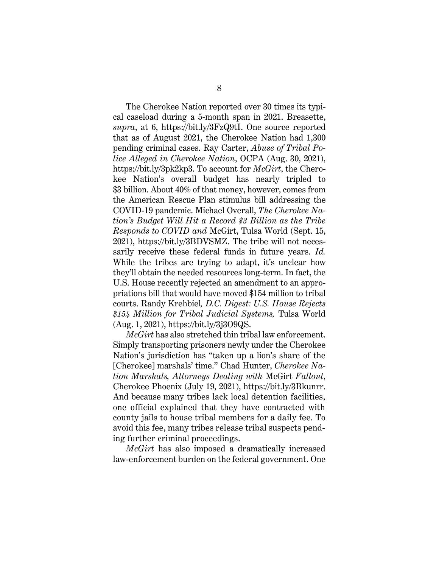The Cherokee Nation reported over 30 times its typical caseload during a 5-month span in 2021. Breasette, *supra*, at 6, https://bit.ly/3FzQ9tI. One source reported that as of August 2021, the Cherokee Nation had 1,300 pending criminal cases. Ray Carter, *Abuse of Tribal Police Alleged in Cherokee Nation*, OCPA (Aug. 30, 2021), https://bit.ly/3pk2kp3. To account for *McGirt*, the Cherokee Nation's overall budget has nearly tripled to \$3 billion. About 40% of that money, however, comes from the American Rescue Plan stimulus bill addressing the COVID-19 pandemic. Michael Overall, *The Cherokee Nation's Budget Will Hit a Record \$3 Billion as the Tribe Responds to COVID and* McGirt, Tulsa World (Sept. 15, 2021), https://bit.ly/3BDVSMZ. The tribe will not necessarily receive these federal funds in future years. *Id.* While the tribes are trying to adapt, it's unclear how they'll obtain the needed resources long-term. In fact, the U.S. House recently rejected an amendment to an appropriations bill that would have moved \$154 million to tribal courts. Randy Krehbiel*, D.C. Digest: U.S. House Rejects \$154 Million for Tribal Judicial Systems,* Tulsa World (Aug. 1, 2021), https://bit.ly/3j3O9QS.

*McGirt* has also stretched thin tribal law enforcement. Simply transporting prisoners newly under the Cherokee Nation's jurisdiction has "taken up a lion's share of the [Cherokee] marshals' time." Chad Hunter, *Cherokee Nation Marshals, Attorneys Dealing with* McGirt *Fallout*, Cherokee Phoenix (July 19, 2021), https://bit.ly/3Bkunrr. And because many tribes lack local detention facilities, one official explained that they have contracted with county jails to house tribal members for a daily fee. To avoid this fee, many tribes release tribal suspects pending further criminal proceedings.

*McGirt* has also imposed a dramatically increased law-enforcement burden on the federal government. One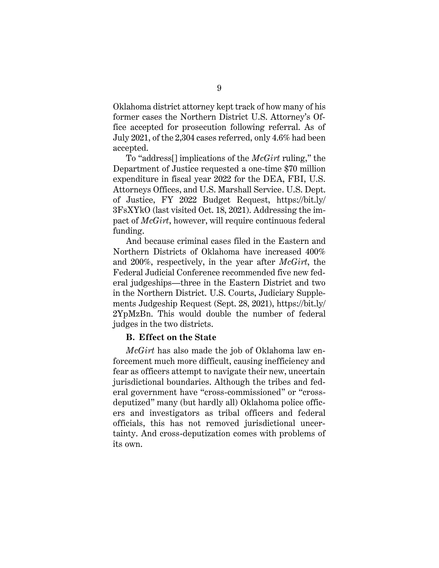Oklahoma district attorney kept track of how many of his former cases the Northern District U.S. Attorney's Office accepted for prosecution following referral. As of July 2021, of the 2,304 cases referred, only 4.6% had been accepted.

To "address[] implications of the *McGirt* ruling," the Department of Justice requested a one-time \$70 million expenditure in fiscal year 2022 for the DEA, FBI, U.S. Attorneys Offices, and U.S. Marshall Service. U.S. Dept. of Justice, FY 2022 Budget Request, https://bit.ly/ 3FsXYkO (last visited Oct. 18, 2021). Addressing the impact of *McGirt*, however, will require continuous federal funding.

And because criminal cases filed in the Eastern and Northern Districts of Oklahoma have increased 400% and 200%, respectively, in the year after *McGirt*, the Federal Judicial Conference recommended five new federal judgeships—three in the Eastern District and two in the Northern District. U.S. Courts, Judiciary Supplements Judgeship Request (Sept. 28, 2021), https://bit.ly/ 2YpMzBn. This would double the number of federal judges in the two districts.

#### <span id="page-15-0"></span>**B. Effect on the State**

*McGirt* has also made the job of Oklahoma law enforcement much more difficult, causing inefficiency and fear as officers attempt to navigate their new, uncertain jurisdictional boundaries. Although the tribes and federal government have "cross-commissioned" or "crossdeputized" many (but hardly all) Oklahoma police officers and investigators as tribal officers and federal officials, this has not removed jurisdictional uncertainty. And cross-deputization comes with problems of its own.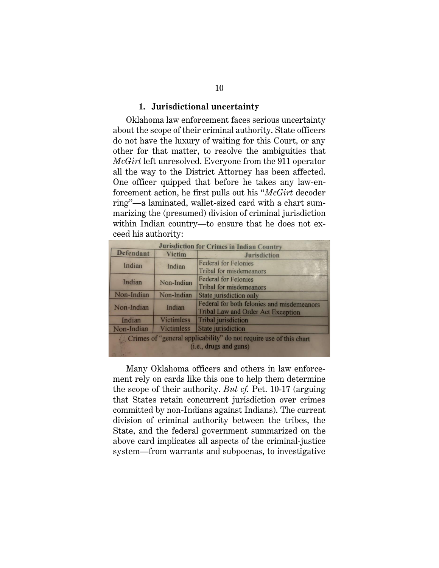#### **1. Jurisdictional uncertainty**

Oklahoma law enforcement faces serious uncertainty about the scope of their criminal authority. State officers do not have the luxury of waiting for this Court, or any other for that matter, to resolve the ambiguities that *McGirt* left unresolved. Everyone from the 911 operator all the way to the District Attorney has been affected. One officer quipped that before he takes any law-enforcement action, he first pulls out his "*McGirt* decoder ring"—a laminated, wallet-sized card with a chart summarizing the (presumed) division of criminal jurisdiction within Indian country—to ensure that he does not exceed his authority:

| <b>Jurisdiction for Crimes in Indian Country</b>                                             |                   |                                                                                         |  |  |  |  |
|----------------------------------------------------------------------------------------------|-------------------|-----------------------------------------------------------------------------------------|--|--|--|--|
| <b>Defendant</b>                                                                             | <b>Victim</b>     | <b>Jurisdiction</b>                                                                     |  |  |  |  |
| Indian                                                                                       | Indian            | <b>Federal for Felonies</b><br><b>Tribal for misdemeanors</b>                           |  |  |  |  |
| Indian                                                                                       | Non-Indian        | <b>Federal for Felonies</b>                                                             |  |  |  |  |
|                                                                                              |                   | <b>Tribal for misdemeanors</b>                                                          |  |  |  |  |
| Non-Indian                                                                                   | Non-Indian        | State jurisdiction only                                                                 |  |  |  |  |
| Non-Indian                                                                                   | Indian            | Federal for both felonies and misdemeanors<br><b>Tribal Law and Order Act Exception</b> |  |  |  |  |
| Indian                                                                                       | <b>Victimless</b> | <b>Tribal</b> jurisdiction                                                              |  |  |  |  |
| Non-Indian                                                                                   | <b>Victimless</b> | <b>State</b> jurisdiction                                                               |  |  |  |  |
| Crimes of "general applicability" do not require use of this chart<br>(i.e., drugs and guns) |                   |                                                                                         |  |  |  |  |

Many Oklahoma officers and others in law enforcement rely on cards like this one to help them determine the scope of their authority. *But cf.* Pet. 10-17 (arguing that States retain concurrent jurisdiction over crimes committed by non-Indians against Indians). The current division of criminal authority between the tribes, the State, and the federal government summarized on the above card implicates all aspects of the criminal-justice system—from warrants and subpoenas, to investigative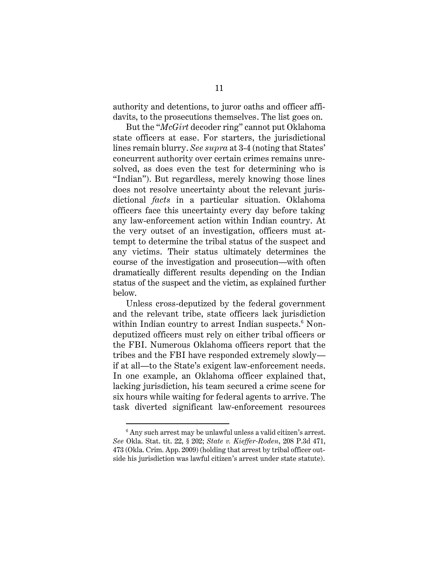authority and detentions, to juror oaths and officer affidavits, to the prosecutions themselves. The list goes on.

But the "*McGirt* decoder ring" cannot put Oklahoma state officers at ease. For starters, the jurisdictional lines remain blurry. *See supra* at 3-4 (noting that States' concurrent authority over certain crimes remains unresolved, as does even the test for determining who is "Indian"). But regardless, merely knowing those lines does not resolve uncertainty about the relevant jurisdictional *facts* in a particular situation. Oklahoma officers face this uncertainty every day before taking any law-enforcement action within Indian country. At the very outset of an investigation, officers must attempt to determine the tribal status of the suspect and any victims. Their status ultimately determines the course of the investigation and prosecution—with often dramatically different results depending on the Indian status of the suspect and the victim, as explained further below.

Unless cross-deputized by the federal government and the relevant tribe, state officers lack jurisdiction within Indian country to arrest Indian suspects.<sup>6</sup> Nondeputized officers must rely on either tribal officers or the FBI. Numerous Oklahoma officers report that the tribes and the FBI have responded extremely slowly if at all—to the State's exigent law-enforcement needs. In one example, an Oklahoma officer explained that, lacking jurisdiction, his team secured a crime scene for six hours while waiting for federal agents to arrive. The task diverted significant law-enforcement resources

 $6$  Any such arrest may be unlawful unless a valid citizen's arrest. *See* Okla. Stat. tit. 22, § 202; *State v. Kieffer-Roden*, 208 P.3d 471, 473 (Okla. Crim. App. 2009) (holding that arrest by tribal officer outside his jurisdiction was lawful citizen's arrest under state statute).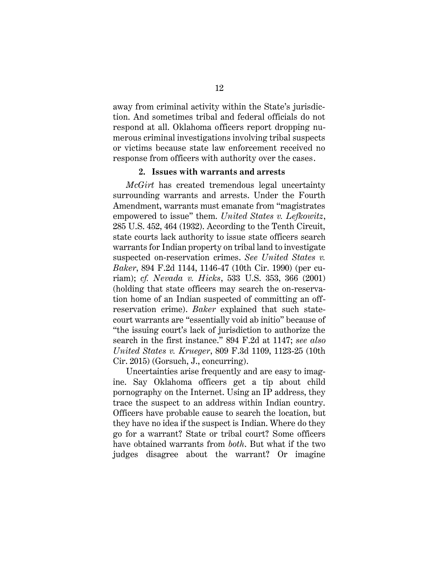away from criminal activity within the State's jurisdiction. And sometimes tribal and federal officials do not respond at all. Oklahoma officers report dropping numerous criminal investigations involving tribal suspects or victims because state law enforcement received no response from officers with authority over the cases.

#### **2. Issues with warrants and arrests**

*McGirt* has created tremendous legal uncertainty surrounding warrants and arrests. Under the Fourth Amendment, warrants must emanate from "magistrates empowered to issue" them. *United States v. Lefkowitz*, 285 U.S. 452, 464 (1932). According to the Tenth Circuit, state courts lack authority to issue state officers search warrants for Indian property on tribal land to investigate suspected on-reservation crimes. *See United States v. Baker*, 894 F.2d 1144, 1146-47 (10th Cir. 1990) (per curiam); *cf. Nevada v. Hicks*, 533 U.S. 353, 366 (2001) (holding that state officers may search the on-reservation home of an Indian suspected of committing an offreservation crime). *Baker* explained that such statecourt warrants are "essentially void ab initio" because of "the issuing court's lack of jurisdiction to authorize the search in the first instance." 894 F.2d at 1147; *see also United States v. Krueger*, 809 F.3d 1109, 1123-25 (10th Cir. 2015) (Gorsuch, J., concurring).

Uncertainties arise frequently and are easy to imagine. Say Oklahoma officers get a tip about child pornography on the Internet. Using an IP address, they trace the suspect to an address within Indian country. Officers have probable cause to search the location, but they have no idea if the suspect is Indian. Where do they go for a warrant? State or tribal court? Some officers have obtained warrants from *both*. But what if the two judges disagree about the warrant? Or imagine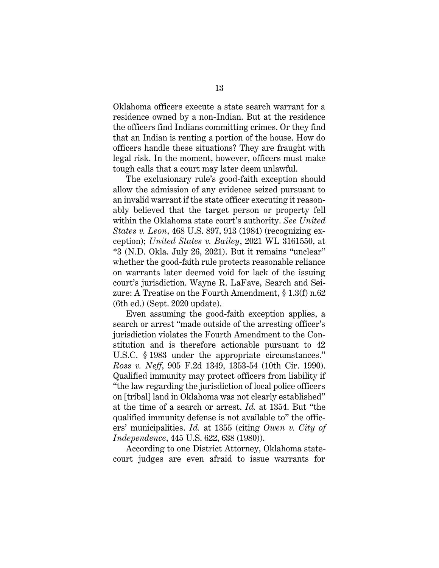Oklahoma officers execute a state search warrant for a residence owned by a non-Indian. But at the residence the officers find Indians committing crimes. Or they find that an Indian is renting a portion of the house. How do officers handle these situations? They are fraught with legal risk. In the moment, however, officers must make tough calls that a court may later deem unlawful.

The exclusionary rule's good-faith exception should allow the admission of any evidence seized pursuant to an invalid warrant if the state officer executing it reasonably believed that the target person or property fell within the Oklahoma state court's authority. *See United States v. Leon*, 468 U.S. 897, 913 (1984) (recognizing exception); *United States v. Bailey*, 2021 WL 3161550, at \*3 (N.D. Okla. July 26, 2021). But it remains "unclear" whether the good-faith rule protects reasonable reliance on warrants later deemed void for lack of the issuing court's jurisdiction. Wayne R. LaFave, Search and Seizure: A Treatise on the Fourth Amendment, § 1.3(f) n.62 (6th ed.) (Sept. 2020 update).

Even assuming the good-faith exception applies, a search or arrest "made outside of the arresting officer's jurisdiction violates the Fourth Amendment to the Constitution and is therefore actionable pursuant to 42 U.S.C. § 1983 under the appropriate circumstances." *Ross v. Neff*, 905 F.2d 1349, 1353-54 (10th Cir. 1990). Qualified immunity may protect officers from liability if "the law regarding the jurisdiction of local police officers on [tribal] land in Oklahoma was not clearly established" at the time of a search or arrest. *Id.* at 1354. But "the qualified immunity defense is not available to" the officers' municipalities. *Id.* at 1355 (citing *Owen v. City of Independence*, 445 U.S. 622, 638 (1980)).

According to one District Attorney, Oklahoma statecourt judges are even afraid to issue warrants for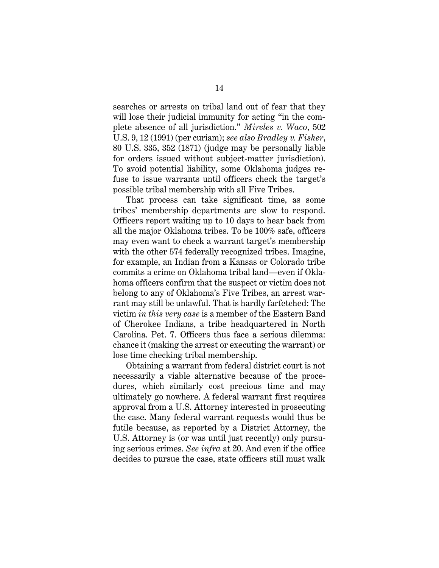searches or arrests on tribal land out of fear that they will lose their judicial immunity for acting "in the complete absence of all jurisdiction." *Mireles v. Waco*, 502 U.S. 9, 12 (1991) (per curiam); *see also Bradley v. Fisher*, 80 U.S. 335, 352 (1871) (judge may be personally liable for orders issued without subject-matter jurisdiction). To avoid potential liability, some Oklahoma judges refuse to issue warrants until officers check the target's possible tribal membership with all Five Tribes.

That process can take significant time, as some tribes' membership departments are slow to respond. Officers report waiting up to 10 days to hear back from all the major Oklahoma tribes. To be 100% safe, officers may even want to check a warrant target's membership with the other 574 federally recognized tribes. Imagine, for example, an Indian from a Kansas or Colorado tribe commits a crime on Oklahoma tribal land—even if Oklahoma officers confirm that the suspect or victim does not belong to any of Oklahoma's Five Tribes, an arrest warrant may still be unlawful. That is hardly farfetched: The victim *in this very case* is a member of the Eastern Band of Cherokee Indians, a tribe headquartered in North Carolina. Pet. 7. Officers thus face a serious dilemma: chance it (making the arrest or executing the warrant) or lose time checking tribal membership.

Obtaining a warrant from federal district court is not necessarily a viable alternative because of the procedures, which similarly cost precious time and may ultimately go nowhere. A federal warrant first requires approval from a U.S. Attorney interested in prosecuting the case. Many federal warrant requests would thus be futile because, as reported by a District Attorney, the U.S. Attorney is (or was until just recently) only pursuing serious crimes. *See infra* at 20. And even if the office decides to pursue the case, state officers still must walk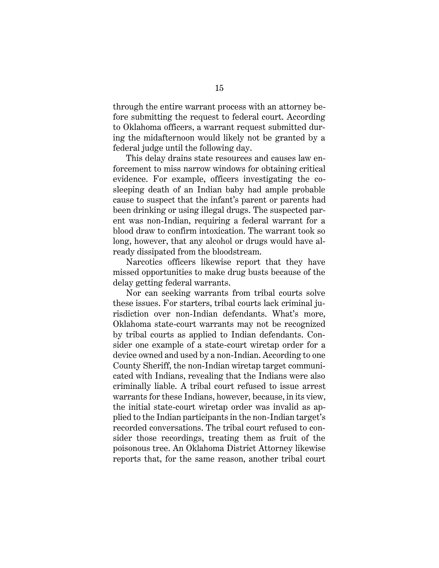through the entire warrant process with an attorney before submitting the request to federal court. According to Oklahoma officers, a warrant request submitted during the midafternoon would likely not be granted by a federal judge until the following day.

This delay drains state resources and causes law enforcement to miss narrow windows for obtaining critical evidence. For example, officers investigating the cosleeping death of an Indian baby had ample probable cause to suspect that the infant's parent or parents had been drinking or using illegal drugs. The suspected parent was non-Indian, requiring a federal warrant for a blood draw to confirm intoxication. The warrant took so long, however, that any alcohol or drugs would have already dissipated from the bloodstream.

Narcotics officers likewise report that they have missed opportunities to make drug busts because of the delay getting federal warrants.

Nor can seeking warrants from tribal courts solve these issues. For starters, tribal courts lack criminal jurisdiction over non-Indian defendants. What's more, Oklahoma state-court warrants may not be recognized by tribal courts as applied to Indian defendants. Consider one example of a state-court wiretap order for a device owned and used by a non-Indian. According to one County Sheriff, the non-Indian wiretap target communicated with Indians, revealing that the Indians were also criminally liable. A tribal court refused to issue arrest warrants for these Indians, however, because, in its view, the initial state-court wiretap order was invalid as applied to the Indian participants in the non-Indian target's recorded conversations. The tribal court refused to consider those recordings, treating them as fruit of the poisonous tree. An Oklahoma District Attorney likewise reports that, for the same reason, another tribal court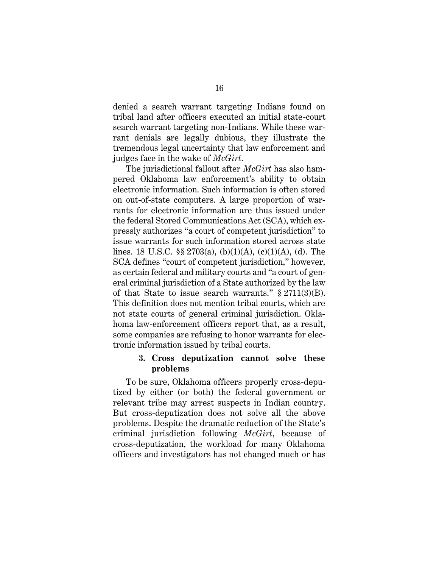denied a search warrant targeting Indians found on tribal land after officers executed an initial state-court search warrant targeting non-Indians. While these warrant denials are legally dubious, they illustrate the tremendous legal uncertainty that law enforcement and judges face in the wake of *McGirt*.

The jurisdictional fallout after *McGirt* has also hampered Oklahoma law enforcement's ability to obtain electronic information. Such information is often stored on out-of-state computers. A large proportion of warrants for electronic information are thus issued under the federal Stored Communications Act (SCA), which expressly authorizes "a court of competent jurisdiction" to issue warrants for such information stored across state lines. 18 U.S.C.  $\S$  2703(a), (b)(1)(A), (c)(1)(A), (d). The SCA defines "court of competent jurisdiction," however, as certain federal and military courts and "a court of general criminal jurisdiction of a State authorized by the law of that State to issue search warrants."  $\S 2711(3)(B)$ . This definition does not mention tribal courts, which are not state courts of general criminal jurisdiction. Oklahoma law-enforcement officers report that, as a result, some companies are refusing to honor warrants for electronic information issued by tribal courts.

## **3. Cross deputization cannot solve these problems**

To be sure, Oklahoma officers properly cross-deputized by either (or both) the federal government or relevant tribe may arrest suspects in Indian country. But cross-deputization does not solve all the above problems. Despite the dramatic reduction of the State's criminal jurisdiction following *McGirt*, because of cross-deputization, the workload for many Oklahoma officers and investigators has not changed much or has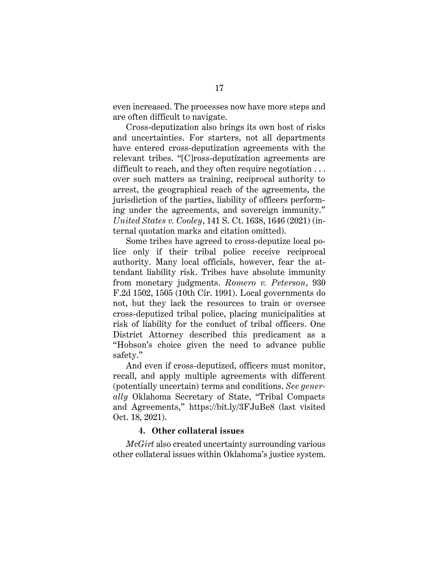even increased. The processes now have more steps and are often difficult to navigate.

Cross-deputization also brings its own host of risks and uncertainties. For starters, not all departments have entered cross-deputization agreements with the relevant tribes. "[C]ross-deputization agreements are difficult to reach, and they often require negotiation . . . over such matters as training, reciprocal authority to arrest, the geographical reach of the agreements, the jurisdiction of the parties, liability of officers performing under the agreements, and sovereign immunity." *United States v. Cooley*, 141 S. Ct. 1638, 1646 (2021) (internal quotation marks and citation omitted).

Some tribes have agreed to cross-deputize local police only if their tribal police receive reciprocal authority. Many local officials, however, fear the attendant liability risk. Tribes have absolute immunity from monetary judgments. *Romero v. Peterson*, 930 F.2d 1502, 1505 (10th Cir. 1991). Local governments do not, but they lack the resources to train or oversee cross-deputized tribal police, placing municipalities at risk of liability for the conduct of tribal officers. One District Attorney described this predicament as a "Hobson's choice given the need to advance public safety."

And even if cross-deputized, officers must monitor, recall, and apply multiple agreements with different (potentially uncertain) terms and conditions. *See generally* Oklahoma Secretary of State, "Tribal Compacts and Agreements," https://bit.ly/3FJuBe8 (last visited Oct. 18, 2021).

### **4. Other collateral issues**

*McGirt* also created uncertainty surrounding various other collateral issues within Oklahoma's justice system.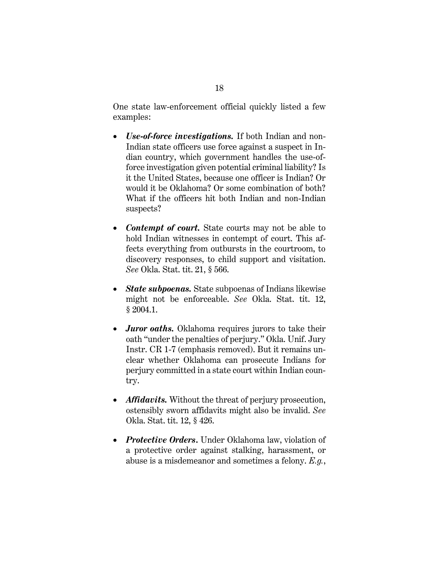One state law-enforcement official quickly listed a few examples:

- *Use-of-force investigations.* If both Indian and non-Indian state officers use force against a suspect in Indian country, which government handles the use-offorce investigation given potential criminal liability? Is it the United States, because one officer is Indian? Or would it be Oklahoma? Or some combination of both? What if the officers hit both Indian and non-Indian suspects?
- *Contempt of court.* State courts may not be able to hold Indian witnesses in contempt of court. This affects everything from outbursts in the courtroom, to discovery responses, to child support and visitation. *See* Okla. Stat. tit. 21, § 566.
- *State subpoenas.* State subpoenas of Indians likewise might not be enforceable. *See* Okla. Stat. tit. 12, § 2004.1.
- *Juror oaths.* Oklahoma requires jurors to take their oath "under the penalties of perjury." Okla. Unif. Jury Instr. CR 1-7 (emphasis removed). But it remains unclear whether Oklahoma can prosecute Indians for perjury committed in a state court within Indian country.
- *Affidavits.* Without the threat of perjury prosecution, ostensibly sworn affidavits might also be invalid. *See* Okla. Stat. tit. 12, § 426.
- *Protective Orders*. Under Oklahoma law, violation of a protective order against stalking, harassment, or abuse is a misdemeanor and sometimes a felony. *E.g.*,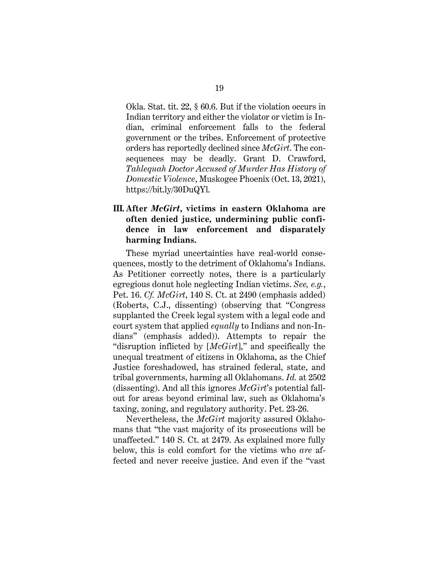Okla. Stat. tit. 22, § 60.6. But if the violation occurs in Indian territory and either the violator or victim is Indian, criminal enforcement falls to the federal government or the tribes. Enforcement of protective orders has reportedly declined since *McGirt*. The consequences may be deadly. Grant D. Crawford, *Tahlequah Doctor Accused of Murder Has History of Domestic Violence*, Muskogee Phoenix (Oct. 13, 2021), https://bit.ly/30DuQYl.

# <span id="page-25-0"></span>**III. After** *McGirt***, victims in eastern Oklahoma are often denied justice, undermining public confidence in law enforcement and disparately harming Indians.**

These myriad uncertainties have real-world consequences, mostly to the detriment of Oklahoma's Indians. As Petitioner correctly notes, there is a particularly egregious donut hole neglecting Indian victims. *See, e.g.*, Pet. 16. *Cf. McGirt*, 140 S. Ct. at 2490 (emphasis added) (Roberts, C.J., dissenting) (observing that "Congress supplanted the Creek legal system with a legal code and court system that applied *equally* to Indians and non-Indians" (emphasis added)). Attempts to repair the "disruption inflicted by [*McGirt*]," and specifically the unequal treatment of citizens in Oklahoma, as the Chief Justice foreshadowed, has strained federal, state, and tribal governments, harming all Oklahomans. *Id.* at 2502 (dissenting). And all this ignores *McGirt*'s potential fallout for areas beyond criminal law, such as Oklahoma's taxing, zoning, and regulatory authority. Pet. 23-26.

Nevertheless, the *McGirt* majority assured Oklahomans that "the vast majority of its prosecutions will be unaffected." 140 S. Ct. at 2479. As explained more fully below, this is cold comfort for the victims who *are* affected and never receive justice. And even if the "vast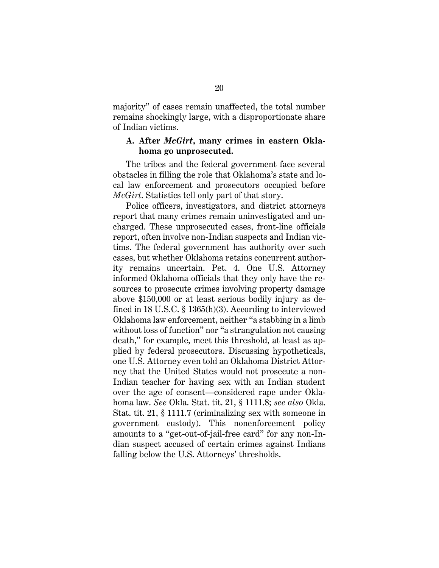majority" of cases remain unaffected, the total number remains shockingly large, with a disproportionate share of Indian victims.

### <span id="page-26-0"></span>**A. After** *McGirt***, many crimes in eastern Oklahoma go unprosecuted.**

The tribes and the federal government face several obstacles in filling the role that Oklahoma's state and local law enforcement and prosecutors occupied before *McGirt*. Statistics tell only part of that story.

Police officers, investigators, and district attorneys report that many crimes remain uninvestigated and uncharged. These unprosecuted cases, front-line officials report, often involve non-Indian suspects and Indian victims. The federal government has authority over such cases, but whether Oklahoma retains concurrent authority remains uncertain. Pet. 4. One U.S. Attorney informed Oklahoma officials that they only have the resources to prosecute crimes involving property damage above \$150,000 or at least serious bodily injury as defined in 18 U.S.C. § 1365(h)(3). According to interviewed Oklahoma law enforcement, neither "a stabbing in a limb without loss of function" nor "a strangulation not causing death," for example, meet this threshold, at least as applied by federal prosecutors. Discussing hypotheticals, one U.S. Attorney even told an Oklahoma District Attorney that the United States would not prosecute a non-Indian teacher for having sex with an Indian student over the age of consent—considered rape under Oklahoma law. *See* Okla. Stat. tit. 21, § 1111.8; *see also* Okla. Stat. tit. 21, § 1111.7 (criminalizing sex with someone in government custody). This nonenforcement policy amounts to a "get-out-of-jail-free card" for any non-Indian suspect accused of certain crimes against Indians falling below the U.S. Attorneys' thresholds.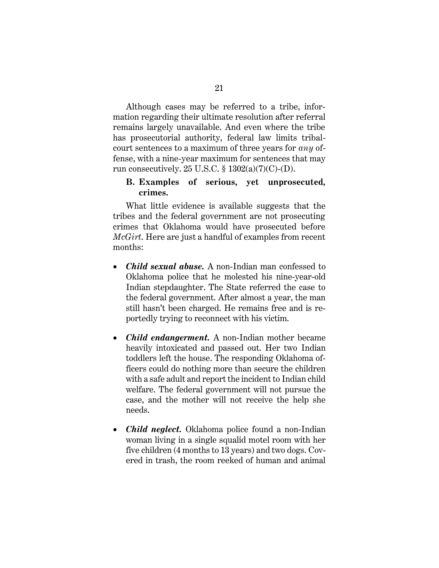Although cases may be referred to a tribe, information regarding their ultimate resolution after referral remains largely unavailable. And even where the tribe has prosecutorial authority, federal law limits tribalcourt sentences to a maximum of three years for *any* offense, with a nine-year maximum for sentences that may run consecutively. 25 U.S.C.  $\S$  1302(a)(7)(C)-(D).

## <span id="page-27-0"></span>**B. Examples of serious, yet unprosecuted, crimes.**

What little evidence is available suggests that the tribes and the federal government are not prosecuting crimes that Oklahoma would have prosecuted before *McGirt*. Here are just a handful of examples from recent months:

- *Child sexual abuse.* A non-Indian man confessed to Oklahoma police that he molested his nine-year-old Indian stepdaughter. The State referred the case to the federal government. After almost a year, the man still hasn't been charged. He remains free and is reportedly trying to reconnect with his victim.
- *Child endangerment.* A non-Indian mother became heavily intoxicated and passed out. Her two Indian toddlers left the house. The responding Oklahoma officers could do nothing more than secure the children with a safe adult and report the incident to Indian child welfare. The federal government will not pursue the case, and the mother will not receive the help she needs.
- *Child neglect.* Oklahoma police found a non-Indian woman living in a single squalid motel room with her five children (4 months to 13 years) and two dogs. Covered in trash, the room reeked of human and animal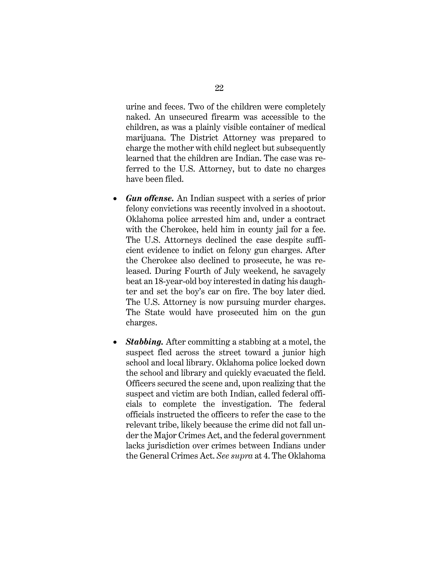urine and feces. Two of the children were completely naked. An unsecured firearm was accessible to the children, as was a plainly visible container of medical marijuana. The District Attorney was prepared to charge the mother with child neglect but subsequently learned that the children are Indian. The case was referred to the U.S. Attorney, but to date no charges have been filed.

- *Gun offense.* An Indian suspect with a series of prior felony convictions was recently involved in a shootout. Oklahoma police arrested him and, under a contract with the Cherokee, held him in county jail for a fee. The U.S. Attorneys declined the case despite sufficient evidence to indict on felony gun charges. After the Cherokee also declined to prosecute, he was released. During Fourth of July weekend, he savagely beat an 18-year-old boy interested in dating his daughter and set the boy's car on fire. The boy later died. The U.S. Attorney is now pursuing murder charges. The State would have prosecuted him on the gun charges.
- *Stabbing.* After committing a stabbing at a motel, the suspect fled across the street toward a junior high school and local library. Oklahoma police locked down the school and library and quickly evacuated the field. Officers secured the scene and, upon realizing that the suspect and victim are both Indian, called federal officials to complete the investigation. The federal officials instructed the officers to refer the case to the relevant tribe, likely because the crime did not fall under the Major Crimes Act, and the federal government lacks jurisdiction over crimes between Indians under the General Crimes Act. *See supra* at 4. The Oklahoma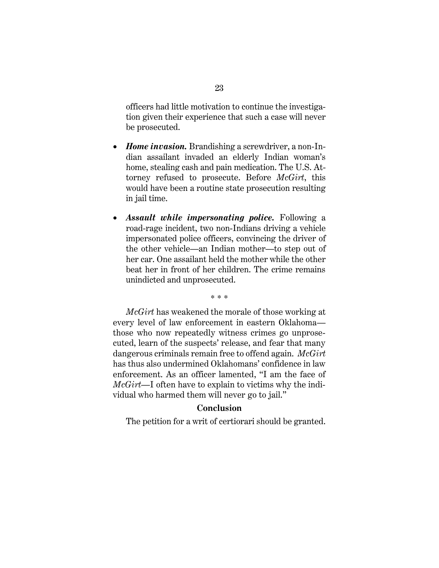officers had little motivation to continue the investigation given their experience that such a case will never be prosecuted.

- *Home invasion.* Brandishing a screwdriver, a non-Indian assailant invaded an elderly Indian woman's home, stealing cash and pain medication. The U.S. Attorney refused to prosecute. Before *McGirt*, this would have been a routine state prosecution resulting in jail time.
- *Assault while impersonating police.* Following a road-rage incident, two non-Indians driving a vehicle impersonated police officers, convincing the driver of the other vehicle—an Indian mother—to step out of her car. One assailant held the mother while the other beat her in front of her children. The crime remains unindicted and unprosecuted.

\* \* \*

*McGirt* has weakened the morale of those working at every level of law enforcement in eastern Oklahoma those who now repeatedly witness crimes go unprosecuted, learn of the suspects' release, and fear that many dangerous criminals remain free to offend again. *McGirt* has thus also undermined Oklahomans' confidence in law enforcement. As an officer lamented, "I am the face of *McGirt*—I often have to explain to victims why the individual who harmed them will never go to jail."

### **Conclusion**

<span id="page-29-0"></span>The petition for a writ of certiorari should be granted.